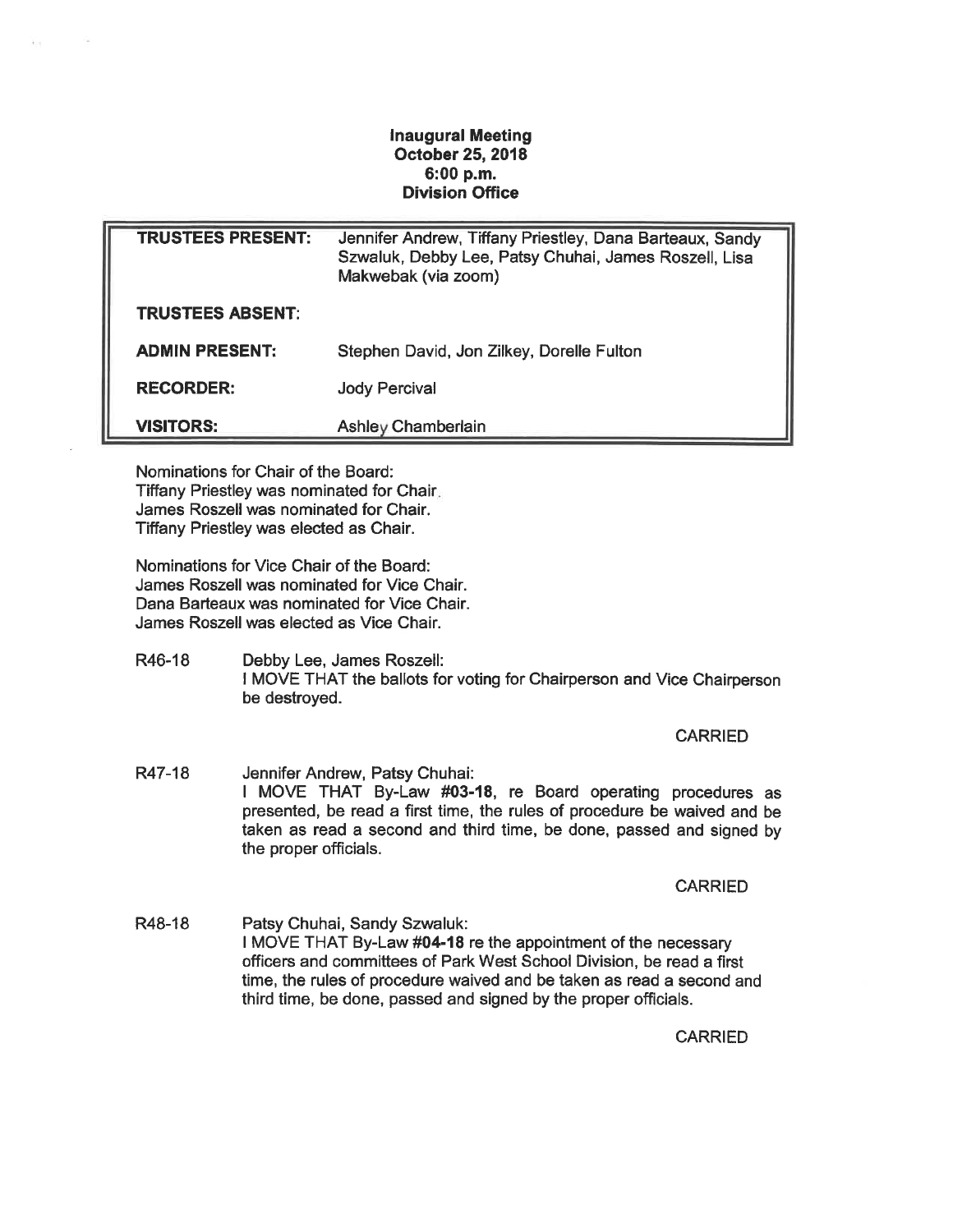## Inaugural Meeting October 25, 2018 6:00 p. m. Division Office

| <b>TRUSTEES PRESENT:</b> | Jennifer Andrew, Tiffany Priestley, Dana Barteaux, Sandy<br>Szwaluk, Debby Lee, Patsy Chuhai, James Roszell, Lisa<br>Makwebak (via zoom) |
|--------------------------|------------------------------------------------------------------------------------------------------------------------------------------|
| <b>TRUSTEES ABSENT:</b>  |                                                                                                                                          |
| <b>ADMIN PRESENT:</b>    | Stephen David, Jon Zilkey, Dorelle Fulton                                                                                                |
| <b>RECORDER:</b>         | <b>Jody Percival</b>                                                                                                                     |
| <b>VISITORS:</b>         | <b>Ashley Chamberlain</b>                                                                                                                |

Nominations for Chair of the Board: Tiffany Priestley was nominated for Chair James Roszell was nominated for Chair. Tiffany Priestley was elected as Chair.

Nominations for Vice Chair of the Board: James Roszell was nominated for Vice Chair. Dana Barteaux was nominated for Vice Chair. James Roszell was elected as Vice Chair.

R46-18 Debby Lee, James Roszell: I MOVE THAT the ballots for voting for Chairperson and Vice Chairperson be destroyed.

CARRIED

R47-18 Jennifer Andrew, Patsy Chuhai: I MOVE THAT By-Law #03-18, re Board operating procedures as presented, be read a first time, the rules of procedure be waived and be taken as read a second and third time, be done, passed and signed by the proper officials.

**CARRIED** 

R48-18 Patsy Chuhai, Sandy Szwaluk: I MOVE THAT By-Law #04-18 re the appointment of the necessary officers and committees of Park West School Division, be read a first time, the rules of procedure waived and be taken as read a second and third time, be done, passed and signed by the proper officials.

CARRIED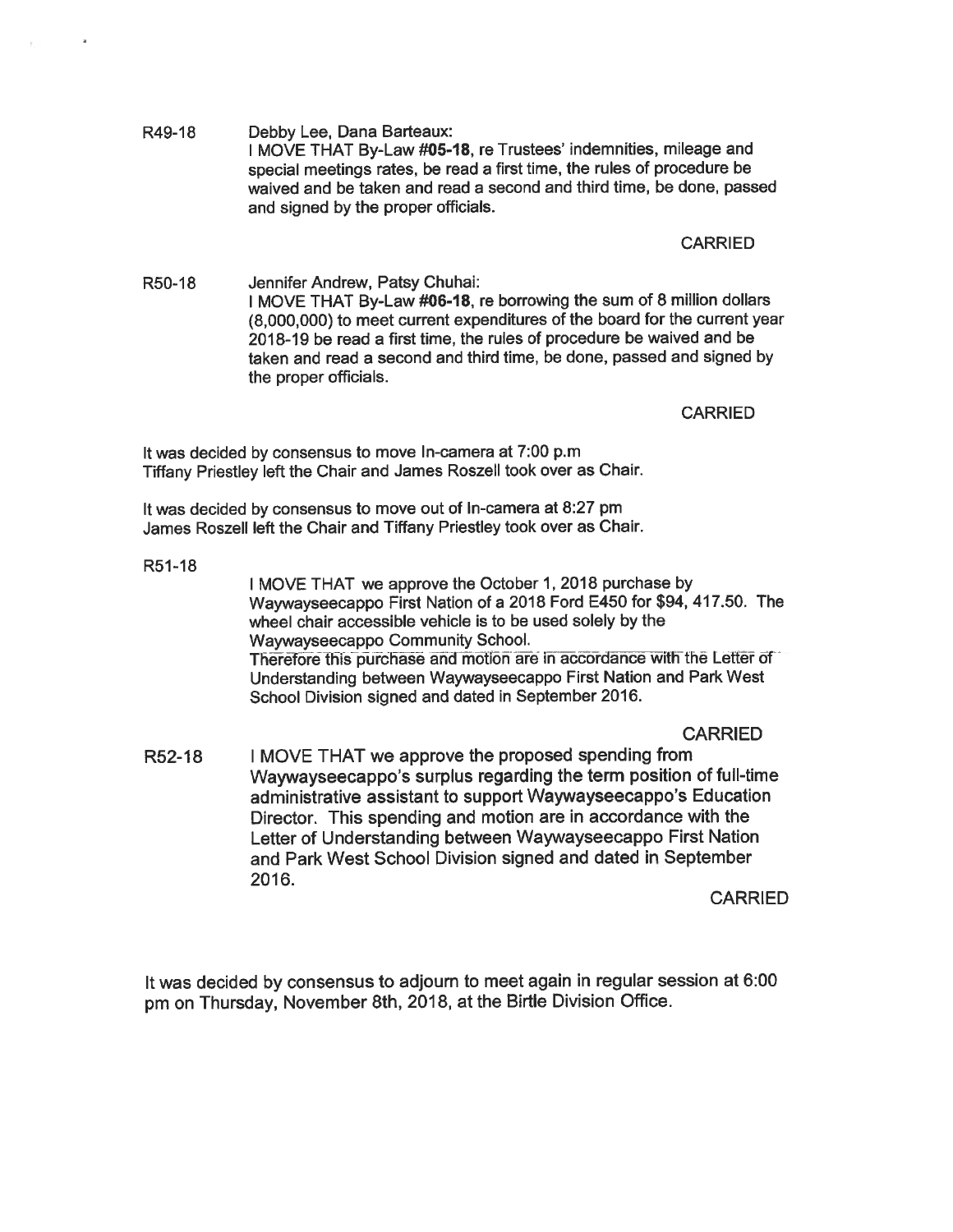R49-18 Debby Lee, Dana Barteaux: I MOVE THAT By-Law #05-18, re Trustees' indemnities, mileage and special meetings rates, be read a first time, the rules of procedure be waived and be taken and read a second and third time, be done, passed and signed by the proper officials.

## CARRIED

R50-18 Jennifer Andrew, Patsy Chuhai: I MOVE THAT By-Law #06-18, re borrowing the sum of 8 million dollars (8,000,000) to meet current expenditures of the board for the current year 2018-19 be read a first time, the rules of procedure be waived and be taken and read a second and third time, be done, passed and signed by the proper officials.

**CARRIED** 

It was decided by consensus to move In-camera at 7:00 p.m Tiffany Priestley left the Chair and James Roszell took over as Chair.

It was decided by consensus to move out of In-camera at 8:27 pm James Roszell left the Chair and Tiffany Priestley took over as Chair.

R51-18

I MOVE THAT we approve the October 1, 2018 purchase by Waywayseecappo First Nation of a 2018 Ford E450 for \$94, 417. 50. The wheel chair accessible vehicle is to be used solely by the Waywayseecappo Community School. Therefore this purchase and motion are in accordance with the Letter of Understanding between Waywayseecappo First Nation and Park West School Division signed and dated in September 2016.

## CARRIED

R52-18 I MOVE THAT we approve the proposed spending from Waywayseecappo's surplus regarding the term position of full-time administrative assistant to support Waywayseecappo's Education Director. This spending and motion are in accordance with the Letter of Understanding between Waywayseecappo First Nation and Park West School Division signed and dated in September 2016.

**CARRIED** 

It was decided by consensus to adjourn to meet again in regular session at 6:00 pm on Thursday, November 8th, 2018, at the Birtle Division Office.